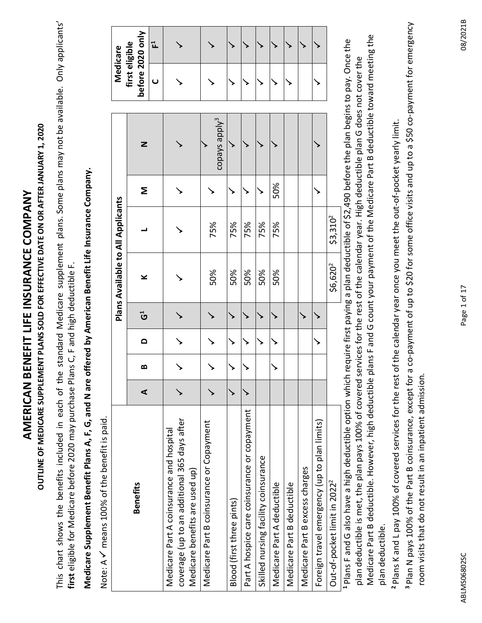OUTLINE OF MEDICARE SUPPLEMENT PLANS SOLD FOR EFFECTIVE DATE ON OR AFTER JANUARY 1, 2020 **OUTLINE OF MEDICARE SUPPLEMENT PLANS SOLD FOR EFFECTIVE DATE ON OR AFTER JANUARY 1, 2020** AMERICAN BENEFIT LIFE INSURANCE COMPANY **AMERICAN BENEFIT LIFE INSURANCE COMPANY**

This chart shows the benefits included in each of the standard Medicare supplement plans. Some plans may not be available. Only applicants' This chart shows the benefits included in each of the standard Medicare supplement plans. Some plans may not be available. Only applicants' **first** eligible for Medicare before 2020 may purchase Plans C, F and high deductible F. first eligible for Medicare before 2020 may purchase Plans C, F and high deductible F.

# Medicare Supplement Benefit Plans A, F, G, and N are offered by American Benefit Life Insurance Company. **Medicare Supplement Benefit Plans A, F, G, and N are offered by American Benefit Life Insurance Company.**

Note: A  $\checkmark$  means 100% of the benefit is paid. Note: A  $\checkmark$  means 100% of the benefit is paid.

|                                                                                                                                                               |   |   |          |           | <b>Plans Available to All Applicants</b> |                      |     |                           |                | Medicare                           |
|---------------------------------------------------------------------------------------------------------------------------------------------------------------|---|---|----------|-----------|------------------------------------------|----------------------|-----|---------------------------|----------------|------------------------------------|
| <b>Benefits</b>                                                                                                                                               | ⋖ | ∞ | $\Omega$ | <u>ປົ</u> | ¥                                        |                      | Σ   | Z                         |                | before 2020 only<br>first eligible |
|                                                                                                                                                               |   |   |          |           |                                          |                      |     |                           | $\overline{C}$ | 딥                                  |
| coverage (up to an additional 365 days after<br>Medicare Part A coinsurance and hospital<br>Medicare benefits are used up)                                    |   |   |          |           |                                          |                      |     |                           |                |                                    |
| Medicare Part B coinsurance or Copayment                                                                                                                      |   |   |          |           | 50%                                      | 75%                  |     | copays apply <sup>3</sup> |                |                                    |
| Blood (first three pints)                                                                                                                                     |   |   |          |           | 50%                                      | 75%                  |     |                           |                |                                    |
| Part A hospice care coinsurance or copayment                                                                                                                  |   |   |          |           | 50%                                      | 75%                  |     |                           |                |                                    |
| Skilled nursing facility coinsurance                                                                                                                          |   |   |          |           | 50%                                      | 75%                  |     |                           |                |                                    |
| Medicare Part A deductible                                                                                                                                    |   |   |          |           | 50%                                      | 75%                  | 50% |                           |                |                                    |
| Medicare Part B deductible                                                                                                                                    |   |   |          |           |                                          |                      |     |                           |                |                                    |
| Medicare Part B excess charges                                                                                                                                |   |   |          |           |                                          |                      |     |                           |                |                                    |
| Foreign travel emergency (up to plan limits)                                                                                                                  |   |   |          |           |                                          |                      |     |                           |                |                                    |
| Out-of-pocket limit in 2022 <sup>2</sup>                                                                                                                      |   |   |          |           | \$6,620 <sup>2</sup>                     | \$3,310 <sup>2</sup> |     |                           |                |                                    |
| <sup>1</sup> Plans F and G also have a high deductible option which require first paying a plan deductible of \$2.490 before the plan begins to pay. Once the |   |   |          |           |                                          |                      |     |                           |                |                                    |

Medicare Part B deductible. However, high deductible plans F and G count your payment of the Medicare Part B deductible toward meeting the Medicare Part B deductible. However, high deductible plans F and G count your payment of the Medicare Part B deductible toward meeting the **1** Plans F and G also have a high deductible option which require first paying a plan deductible of \$2,490 before the plan begins to pay. Once the plan deductible is met, the plan pays 100% of covered services for the rest of the calendar year. High deductible plan G does not cover the plan deductible is met, the plan pays 100% of covered services for the rest of the calendar year. High deductible plan G does not cover the pullo plan deductible. plan deductible.

Plans K and L pay 100% of covered services for the rest of the calendar year once you meet the out-of-pocket yearly limit. **2** Plans K and L pay 100% of covered services for the rest of the calendar year once you meet the out-of-pocket yearly limit.

**3** Plan N pays 100% of the Part B coinsurance, except for a co-payment of up to \$20 for some office visits and up to a \$50 co-payment for emergency Plan N pays 100% of the Part B coinsurance, except for a co-payment of up to \$20 for some office visits and up to a \$50 co-payment for emergency room visits that do not result in an inpatient admission. room visits that do not result in an inpatient admission.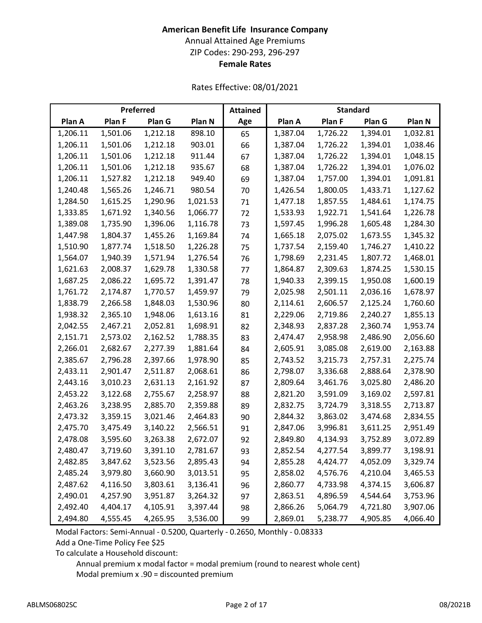# **American Benefit Life Insurance Company** Annual Attained Age Premiums ZIP Codes: 290-293, 296-297 **Female Rates**

Rates Effective: 08/01/2021

|          |          | Preferred |          | <b>Attained</b> |          | <b>Standard</b> |          |          |
|----------|----------|-----------|----------|-----------------|----------|-----------------|----------|----------|
| Plan A   | Plan F   | Plan G    | Plan N   | Age             | Plan A   | Plan F          | Plan G   | Plan N   |
| 1,206.11 | 1,501.06 | 1,212.18  | 898.10   | 65              | 1,387.04 | 1,726.22        | 1,394.01 | 1,032.81 |
| 1,206.11 | 1,501.06 | 1,212.18  | 903.01   | 66              | 1,387.04 | 1,726.22        | 1,394.01 | 1,038.46 |
| 1,206.11 | 1,501.06 | 1,212.18  | 911.44   | 67              | 1,387.04 | 1,726.22        | 1,394.01 | 1,048.15 |
| 1,206.11 | 1,501.06 | 1,212.18  | 935.67   | 68              | 1,387.04 | 1,726.22        | 1,394.01 | 1,076.02 |
| 1,206.11 | 1,527.82 | 1,212.18  | 949.40   | 69              | 1,387.04 | 1,757.00        | 1,394.01 | 1,091.81 |
| 1,240.48 | 1,565.26 | 1,246.71  | 980.54   | 70              | 1,426.54 | 1,800.05        | 1,433.71 | 1,127.62 |
| 1,284.50 | 1,615.25 | 1,290.96  | 1,021.53 | 71              | 1,477.18 | 1,857.55        | 1,484.61 | 1,174.75 |
| 1,333.85 | 1,671.92 | 1,340.56  | 1,066.77 | 72              | 1,533.93 | 1,922.71        | 1,541.64 | 1,226.78 |
| 1,389.08 | 1,735.90 | 1,396.06  | 1,116.78 | 73              | 1,597.45 | 1,996.28        | 1,605.48 | 1,284.30 |
| 1,447.98 | 1,804.37 | 1,455.26  | 1,169.84 | 74              | 1,665.18 | 2,075.02        | 1,673.55 | 1,345.32 |
| 1,510.90 | 1,877.74 | 1,518.50  | 1,226.28 | 75              | 1,737.54 | 2,159.40        | 1,746.27 | 1,410.22 |
| 1,564.07 | 1,940.39 | 1,571.94  | 1,276.54 | 76              | 1,798.69 | 2,231.45        | 1,807.72 | 1,468.01 |
| 1,621.63 | 2,008.37 | 1,629.78  | 1,330.58 | 77              | 1,864.87 | 2,309.63        | 1,874.25 | 1,530.15 |
| 1,687.25 | 2,086.22 | 1,695.72  | 1,391.47 | 78              | 1,940.33 | 2,399.15        | 1,950.08 | 1,600.19 |
| 1,761.72 | 2,174.87 | 1,770.57  | 1,459.97 | 79              | 2,025.98 | 2,501.11        | 2,036.16 | 1,678.97 |
| 1,838.79 | 2,266.58 | 1,848.03  | 1,530.96 | 80              | 2,114.61 | 2,606.57        | 2,125.24 | 1,760.60 |
| 1,938.32 | 2,365.10 | 1,948.06  | 1,613.16 | 81              | 2,229.06 | 2,719.86        | 2,240.27 | 1,855.13 |
| 2,042.55 | 2,467.21 | 2,052.81  | 1,698.91 | 82              | 2,348.93 | 2,837.28        | 2,360.74 | 1,953.74 |
| 2,151.71 | 2,573.02 | 2,162.52  | 1,788.35 | 83              | 2,474.47 | 2,958.98        | 2,486.90 | 2,056.60 |
| 2,266.01 | 2,682.67 | 2,277.39  | 1,881.64 | 84              | 2,605.91 | 3,085.08        | 2,619.00 | 2,163.88 |
| 2,385.67 | 2,796.28 | 2,397.66  | 1,978.90 | 85              | 2,743.52 | 3,215.73        | 2,757.31 | 2,275.74 |
| 2,433.11 | 2,901.47 | 2,511.87  | 2,068.61 | 86              | 2,798.07 | 3,336.68        | 2,888.64 | 2,378.90 |
| 2,443.16 | 3,010.23 | 2,631.13  | 2,161.92 | 87              | 2,809.64 | 3,461.76        | 3,025.80 | 2,486.20 |
| 2,453.22 | 3,122.68 | 2,755.67  | 2,258.97 | 88              | 2,821.20 | 3,591.09        | 3,169.02 | 2,597.81 |
| 2,463.26 | 3,238.95 | 2,885.70  | 2,359.88 | 89              | 2,832.75 | 3,724.79        | 3,318.55 | 2,713.87 |
| 2,473.32 | 3,359.15 | 3,021.46  | 2,464.83 | 90              | 2,844.32 | 3,863.02        | 3,474.68 | 2,834.55 |
| 2,475.70 | 3,475.49 | 3,140.22  | 2,566.51 | 91              | 2,847.06 | 3,996.81        | 3,611.25 | 2,951.49 |
| 2,478.08 | 3,595.60 | 3,263.38  | 2,672.07 | 92              | 2,849.80 | 4,134.93        | 3,752.89 | 3,072.89 |
| 2,480.47 | 3,719.60 | 3,391.10  | 2,781.67 | 93              | 2,852.54 | 4,277.54        | 3,899.77 | 3,198.91 |
| 2,482.85 | 3,847.62 | 3,523.56  | 2,895.43 | 94              | 2,855.28 | 4,424.77        | 4,052.09 | 3,329.74 |
| 2,485.24 | 3,979.80 | 3,660.90  | 3,013.51 | 95              | 2,858.02 | 4,576.76        | 4,210.04 | 3,465.53 |
| 2,487.62 | 4,116.50 | 3,803.61  | 3,136.41 | 96              | 2,860.77 | 4,733.98        | 4,374.15 | 3,606.87 |
| 2,490.01 | 4,257.90 | 3,951.87  | 3,264.32 | 97              | 2,863.51 | 4,896.59        | 4,544.64 | 3,753.96 |
| 2,492.40 | 4,404.17 | 4,105.91  | 3,397.44 | 98              | 2,866.26 | 5,064.79        | 4,721.80 | 3,907.06 |
| 2,494.80 | 4,555.45 | 4,265.95  | 3,536.00 | 99              | 2,869.01 | 5,238.77        | 4,905.85 | 4,066.40 |

Modal Factors: Semi-Annual - 0.5200, Quarterly - 0.2650, Monthly - 0.08333 Add a One-Time Policy Fee \$25

To calculate a Household discount: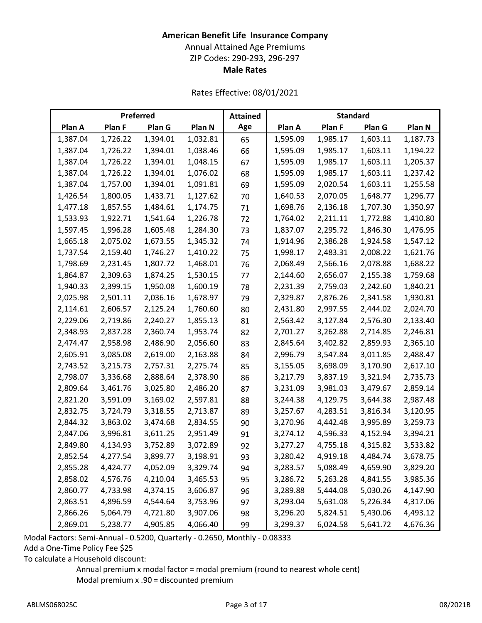# **American Benefit Life Insurance Company**

Annual Attained Age Premiums

ZIP Codes: 290-293, 296-297

**Male Rates**

Rates Effective: 08/01/2021

|          |          | Preferred |          | <b>Attained</b> |          | <b>Standard</b> |          |          |
|----------|----------|-----------|----------|-----------------|----------|-----------------|----------|----------|
| Plan A   | Plan F   | Plan G    | Plan N   | Age             | Plan A   | Plan F          | Plan G   | Plan N   |
| 1,387.04 | 1,726.22 | 1,394.01  | 1,032.81 | 65              | 1,595.09 | 1,985.17        | 1,603.11 | 1,187.73 |
| 1,387.04 | 1,726.22 | 1,394.01  | 1,038.46 | 66              | 1,595.09 | 1,985.17        | 1,603.11 | 1,194.22 |
| 1,387.04 | 1,726.22 | 1,394.01  | 1,048.15 | 67              | 1,595.09 | 1,985.17        | 1,603.11 | 1,205.37 |
| 1,387.04 | 1,726.22 | 1,394.01  | 1,076.02 | 68              | 1,595.09 | 1,985.17        | 1,603.11 | 1,237.42 |
| 1,387.04 | 1,757.00 | 1,394.01  | 1,091.81 | 69              | 1,595.09 | 2,020.54        | 1,603.11 | 1,255.58 |
| 1,426.54 | 1,800.05 | 1,433.71  | 1,127.62 | 70              | 1,640.53 | 2,070.05        | 1,648.77 | 1,296.77 |
| 1,477.18 | 1,857.55 | 1,484.61  | 1,174.75 | 71              | 1,698.76 | 2,136.18        | 1,707.30 | 1,350.97 |
| 1,533.93 | 1,922.71 | 1,541.64  | 1,226.78 | 72              | 1,764.02 | 2,211.11        | 1,772.88 | 1,410.80 |
| 1,597.45 | 1,996.28 | 1,605.48  | 1,284.30 | 73              | 1,837.07 | 2,295.72        | 1,846.30 | 1,476.95 |
| 1,665.18 | 2,075.02 | 1,673.55  | 1,345.32 | 74              | 1,914.96 | 2,386.28        | 1,924.58 | 1,547.12 |
| 1,737.54 | 2,159.40 | 1,746.27  | 1,410.22 | 75              | 1,998.17 | 2,483.31        | 2,008.22 | 1,621.76 |
| 1,798.69 | 2,231.45 | 1,807.72  | 1,468.01 | 76              | 2,068.49 | 2,566.16        | 2,078.88 | 1,688.22 |
| 1,864.87 | 2,309.63 | 1,874.25  | 1,530.15 | 77              | 2,144.60 | 2,656.07        | 2,155.38 | 1,759.68 |
| 1,940.33 | 2,399.15 | 1,950.08  | 1,600.19 | 78              | 2,231.39 | 2,759.03        | 2,242.60 | 1,840.21 |
| 2,025.98 | 2,501.11 | 2,036.16  | 1,678.97 | 79              | 2,329.87 | 2,876.26        | 2,341.58 | 1,930.81 |
| 2,114.61 | 2,606.57 | 2,125.24  | 1,760.60 | 80              | 2,431.80 | 2,997.55        | 2,444.02 | 2,024.70 |
| 2,229.06 | 2,719.86 | 2,240.27  | 1,855.13 | 81              | 2,563.42 | 3,127.84        | 2,576.30 | 2,133.40 |
| 2,348.93 | 2,837.28 | 2,360.74  | 1,953.74 | 82              | 2,701.27 | 3,262.88        | 2,714.85 | 2,246.81 |
| 2,474.47 | 2,958.98 | 2,486.90  | 2,056.60 | 83              | 2,845.64 | 3,402.82        | 2,859.93 | 2,365.10 |
| 2,605.91 | 3,085.08 | 2,619.00  | 2,163.88 | 84              | 2,996.79 | 3,547.84        | 3,011.85 | 2,488.47 |
| 2,743.52 | 3,215.73 | 2,757.31  | 2,275.74 | 85              | 3,155.05 | 3,698.09        | 3,170.90 | 2,617.10 |
| 2,798.07 | 3,336.68 | 2,888.64  | 2,378.90 | 86              | 3,217.79 | 3,837.19        | 3,321.94 | 2,735.73 |
| 2,809.64 | 3,461.76 | 3,025.80  | 2,486.20 | 87              | 3,231.09 | 3,981.03        | 3,479.67 | 2,859.14 |
| 2,821.20 | 3,591.09 | 3,169.02  | 2,597.81 | 88              | 3,244.38 | 4,129.75        | 3,644.38 | 2,987.48 |
| 2,832.75 | 3,724.79 | 3,318.55  | 2,713.87 | 89              | 3,257.67 | 4,283.51        | 3,816.34 | 3,120.95 |
| 2,844.32 | 3,863.02 | 3,474.68  | 2,834.55 | 90              | 3,270.96 | 4,442.48        | 3,995.89 | 3,259.73 |
| 2,847.06 | 3,996.81 | 3,611.25  | 2,951.49 | 91              | 3,274.12 | 4,596.33        | 4,152.94 | 3,394.21 |
| 2,849.80 | 4,134.93 | 3,752.89  | 3,072.89 | 92              | 3,277.27 | 4,755.18        | 4,315.82 | 3,533.82 |
| 2,852.54 | 4,277.54 | 3,899.77  | 3,198.91 | 93              | 3,280.42 | 4,919.18        | 4,484.74 | 3,678.75 |
| 2,855.28 | 4,424.77 | 4,052.09  | 3,329.74 | 94              | 3,283.57 | 5,088.49        | 4,659.90 | 3,829.20 |
| 2,858.02 | 4,576.76 | 4,210.04  | 3,465.53 | 95              | 3,286.72 | 5,263.28        | 4,841.55 | 3,985.36 |
| 2,860.77 | 4,733.98 | 4,374.15  | 3,606.87 | 96              | 3,289.88 | 5,444.08        | 5,030.26 | 4,147.90 |
| 2,863.51 | 4,896.59 | 4,544.64  | 3,753.96 | 97              | 3,293.04 | 5,631.08        | 5,226.34 | 4,317.06 |
| 2,866.26 | 5,064.79 | 4,721.80  | 3,907.06 | 98              | 3,296.20 | 5,824.51        | 5,430.06 | 4,493.12 |
| 2,869.01 | 5,238.77 | 4,905.85  | 4,066.40 | 99              | 3,299.37 | 6,024.58        | 5,641.72 | 4,676.36 |

Modal Factors: Semi-Annual - 0.5200, Quarterly - 0.2650, Monthly - 0.08333

Add a One-Time Policy Fee \$25

To calculate a Household discount: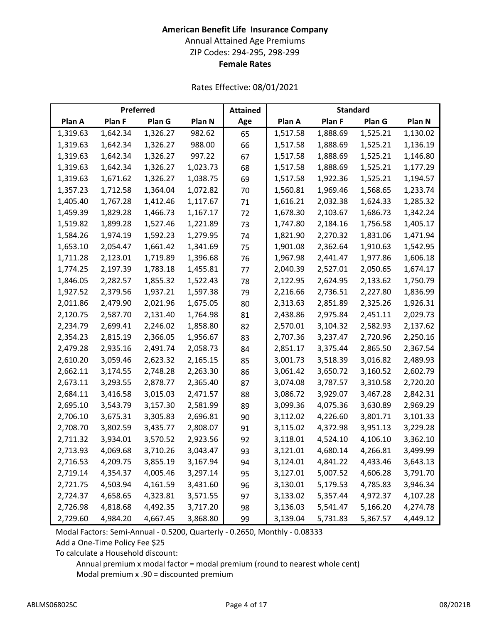# **American Benefit Life Insurance Company** Annual Attained Age Premiums ZIP Codes: 294-295, 298-299 **Female Rates**

Rates Effective: 08/01/2021

|          |          | Preferred |          | <b>Attained</b> |          | <b>Standard</b> |          |          |
|----------|----------|-----------|----------|-----------------|----------|-----------------|----------|----------|
| Plan A   | Plan F   | Plan G    | Plan N   | Age             | Plan A   | Plan F          | Plan G   | Plan N   |
| 1,319.63 | 1,642.34 | 1,326.27  | 982.62   | 65              | 1,517.58 | 1,888.69        | 1,525.21 | 1,130.02 |
| 1,319.63 | 1,642.34 | 1,326.27  | 988.00   | 66              | 1,517.58 | 1,888.69        | 1,525.21 | 1,136.19 |
| 1,319.63 | 1,642.34 | 1,326.27  | 997.22   | 67              | 1,517.58 | 1,888.69        | 1,525.21 | 1,146.80 |
| 1,319.63 | 1,642.34 | 1,326.27  | 1,023.73 | 68              | 1,517.58 | 1,888.69        | 1,525.21 | 1,177.29 |
| 1,319.63 | 1,671.62 | 1,326.27  | 1,038.75 | 69              | 1,517.58 | 1,922.36        | 1,525.21 | 1,194.57 |
| 1,357.23 | 1,712.58 | 1,364.04  | 1,072.82 | 70              | 1,560.81 | 1,969.46        | 1,568.65 | 1,233.74 |
| 1,405.40 | 1,767.28 | 1,412.46  | 1,117.67 | 71              | 1,616.21 | 2,032.38        | 1,624.33 | 1,285.32 |
| 1,459.39 | 1,829.28 | 1,466.73  | 1,167.17 | 72              | 1,678.30 | 2,103.67        | 1,686.73 | 1,342.24 |
| 1,519.82 | 1,899.28 | 1,527.46  | 1,221.89 | 73              | 1,747.80 | 2,184.16        | 1,756.58 | 1,405.17 |
| 1,584.26 | 1,974.19 | 1,592.23  | 1,279.95 | 74              | 1,821.90 | 2,270.32        | 1,831.06 | 1,471.94 |
| 1,653.10 | 2,054.47 | 1,661.42  | 1,341.69 | 75              | 1,901.08 | 2,362.64        | 1,910.63 | 1,542.95 |
| 1,711.28 | 2,123.01 | 1,719.89  | 1,396.68 | 76              | 1,967.98 | 2,441.47        | 1,977.86 | 1,606.18 |
| 1,774.25 | 2,197.39 | 1,783.18  | 1,455.81 | 77              | 2,040.39 | 2,527.01        | 2,050.65 | 1,674.17 |
| 1,846.05 | 2,282.57 | 1,855.32  | 1,522.43 | 78              | 2,122.95 | 2,624.95        | 2,133.62 | 1,750.79 |
| 1,927.52 | 2,379.56 | 1,937.21  | 1,597.38 | 79              | 2,216.66 | 2,736.51        | 2,227.80 | 1,836.99 |
| 2,011.86 | 2,479.90 | 2,021.96  | 1,675.05 | 80              | 2,313.63 | 2,851.89        | 2,325.26 | 1,926.31 |
| 2,120.75 | 2,587.70 | 2,131.40  | 1,764.98 | 81              | 2,438.86 | 2,975.84        | 2,451.11 | 2,029.73 |
| 2,234.79 | 2,699.41 | 2,246.02  | 1,858.80 | 82              | 2,570.01 | 3,104.32        | 2,582.93 | 2,137.62 |
| 2,354.23 | 2,815.19 | 2,366.05  | 1,956.67 | 83              | 2,707.36 | 3,237.47        | 2,720.96 | 2,250.16 |
| 2,479.28 | 2,935.16 | 2,491.74  | 2,058.73 | 84              | 2,851.17 | 3,375.44        | 2,865.50 | 2,367.54 |
| 2,610.20 | 3,059.46 | 2,623.32  | 2,165.15 | 85              | 3,001.73 | 3,518.39        | 3,016.82 | 2,489.93 |
| 2,662.11 | 3,174.55 | 2,748.28  | 2,263.30 | 86              | 3,061.42 | 3,650.72        | 3,160.52 | 2,602.79 |
| 2,673.11 | 3,293.55 | 2,878.77  | 2,365.40 | 87              | 3,074.08 | 3,787.57        | 3,310.58 | 2,720.20 |
| 2,684.11 | 3,416.58 | 3,015.03  | 2,471.57 | 88              | 3,086.72 | 3,929.07        | 3,467.28 | 2,842.31 |
| 2,695.10 | 3,543.79 | 3,157.30  | 2,581.99 | 89              | 3,099.36 | 4,075.36        | 3,630.89 | 2,969.29 |
| 2,706.10 | 3,675.31 | 3,305.83  | 2,696.81 | 90              | 3,112.02 | 4,226.60        | 3,801.71 | 3,101.33 |
| 2,708.70 | 3,802.59 | 3,435.77  | 2,808.07 | 91              | 3,115.02 | 4,372.98        | 3,951.13 | 3,229.28 |
| 2,711.32 | 3,934.01 | 3,570.52  | 2,923.56 | 92              | 3,118.01 | 4,524.10        | 4,106.10 | 3,362.10 |
| 2,713.93 | 4,069.68 | 3,710.26  | 3,043.47 | 93              | 3,121.01 | 4,680.14        | 4,266.81 | 3,499.99 |
| 2,716.53 | 4,209.75 | 3,855.19  | 3,167.94 | 94              | 3,124.01 | 4,841.22        | 4,433.46 | 3,643.13 |
| 2,719.14 | 4,354.37 | 4,005.46  | 3,297.14 | 95              | 3,127.01 | 5,007.52        | 4,606.28 | 3,791.70 |
| 2,721.75 | 4,503.94 | 4,161.59  | 3,431.60 | 96              | 3,130.01 | 5,179.53        | 4,785.83 | 3,946.34 |
| 2,724.37 | 4,658.65 | 4,323.81  | 3,571.55 | 97              | 3,133.02 | 5,357.44        | 4,972.37 | 4,107.28 |
| 2,726.98 | 4,818.68 | 4,492.35  | 3,717.20 | 98              | 3,136.03 | 5,541.47        | 5,166.20 | 4,274.78 |
| 2,729.60 | 4,984.20 | 4,667.45  | 3,868.80 | 99              | 3,139.04 | 5,731.83        | 5,367.57 | 4,449.12 |

Modal Factors: Semi-Annual - 0.5200, Quarterly - 0.2650, Monthly - 0.08333 Add a One-Time Policy Fee \$25

To calculate a Household discount: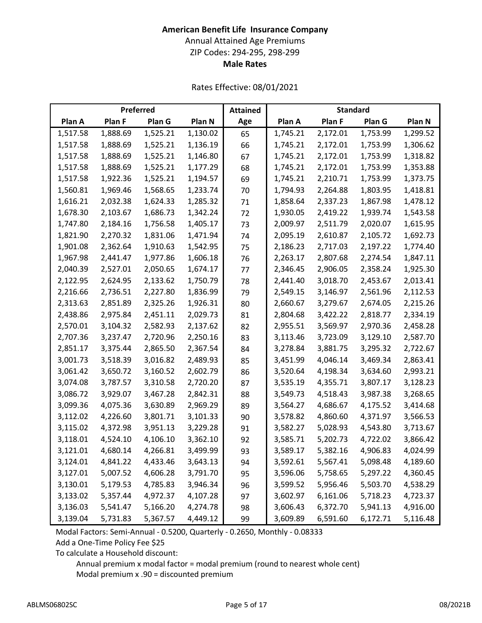# **American Benefit Life Insurance Company**

Annual Attained Age Premiums

ZIP Codes: 294-295, 298-299

# **Male Rates**

Rates Effective: 08/01/2021

|          |          | Preferred |          | <b>Attained</b> |          | <b>Standard</b> |          |          |
|----------|----------|-----------|----------|-----------------|----------|-----------------|----------|----------|
| Plan A   | Plan F   | Plan G    | Plan N   | Age             | Plan A   | Plan F          | Plan G   | Plan N   |
| 1,517.58 | 1,888.69 | 1,525.21  | 1,130.02 | 65              | 1,745.21 | 2,172.01        | 1,753.99 | 1,299.52 |
| 1,517.58 | 1,888.69 | 1,525.21  | 1,136.19 | 66              | 1,745.21 | 2,172.01        | 1,753.99 | 1,306.62 |
| 1,517.58 | 1,888.69 | 1,525.21  | 1,146.80 | 67              | 1,745.21 | 2,172.01        | 1,753.99 | 1,318.82 |
| 1,517.58 | 1,888.69 | 1,525.21  | 1,177.29 | 68              | 1,745.21 | 2,172.01        | 1,753.99 | 1,353.88 |
| 1,517.58 | 1,922.36 | 1,525.21  | 1,194.57 | 69              | 1,745.21 | 2,210.71        | 1,753.99 | 1,373.75 |
| 1,560.81 | 1,969.46 | 1,568.65  | 1,233.74 | 70              | 1,794.93 | 2,264.88        | 1,803.95 | 1,418.81 |
| 1,616.21 | 2,032.38 | 1,624.33  | 1,285.32 | 71              | 1,858.64 | 2,337.23        | 1,867.98 | 1,478.12 |
| 1,678.30 | 2,103.67 | 1,686.73  | 1,342.24 | 72              | 1,930.05 | 2,419.22        | 1,939.74 | 1,543.58 |
| 1,747.80 | 2,184.16 | 1,756.58  | 1,405.17 | 73              | 2,009.97 | 2,511.79        | 2,020.07 | 1,615.95 |
| 1,821.90 | 2,270.32 | 1,831.06  | 1,471.94 | 74              | 2,095.19 | 2,610.87        | 2,105.72 | 1,692.73 |
| 1,901.08 | 2,362.64 | 1,910.63  | 1,542.95 | 75              | 2,186.23 | 2,717.03        | 2,197.22 | 1,774.40 |
| 1,967.98 | 2,441.47 | 1,977.86  | 1,606.18 | 76              | 2,263.17 | 2,807.68        | 2,274.54 | 1,847.11 |
| 2,040.39 | 2,527.01 | 2,050.65  | 1,674.17 | 77              | 2,346.45 | 2,906.05        | 2,358.24 | 1,925.30 |
| 2,122.95 | 2,624.95 | 2,133.62  | 1,750.79 | 78              | 2,441.40 | 3,018.70        | 2,453.67 | 2,013.41 |
| 2,216.66 | 2,736.51 | 2,227.80  | 1,836.99 | 79              | 2,549.15 | 3,146.97        | 2,561.96 | 2,112.53 |
| 2,313.63 | 2,851.89 | 2,325.26  | 1,926.31 | 80              | 2,660.67 | 3,279.67        | 2,674.05 | 2,215.26 |
| 2,438.86 | 2,975.84 | 2,451.11  | 2,029.73 | 81              | 2,804.68 | 3,422.22        | 2,818.77 | 2,334.19 |
| 2,570.01 | 3,104.32 | 2,582.93  | 2,137.62 | 82              | 2,955.51 | 3,569.97        | 2,970.36 | 2,458.28 |
| 2,707.36 | 3,237.47 | 2,720.96  | 2,250.16 | 83              | 3,113.46 | 3,723.09        | 3,129.10 | 2,587.70 |
| 2,851.17 | 3,375.44 | 2,865.50  | 2,367.54 | 84              | 3,278.84 | 3,881.75        | 3,295.32 | 2,722.67 |
| 3,001.73 | 3,518.39 | 3,016.82  | 2,489.93 | 85              | 3,451.99 | 4,046.14        | 3,469.34 | 2,863.41 |
| 3,061.42 | 3,650.72 | 3,160.52  | 2,602.79 | 86              | 3,520.64 | 4,198.34        | 3,634.60 | 2,993.21 |
| 3,074.08 | 3,787.57 | 3,310.58  | 2,720.20 | 87              | 3,535.19 | 4,355.71        | 3,807.17 | 3,128.23 |
| 3,086.72 | 3,929.07 | 3,467.28  | 2,842.31 | 88              | 3,549.73 | 4,518.43        | 3,987.38 | 3,268.65 |
| 3,099.36 | 4,075.36 | 3,630.89  | 2,969.29 | 89              | 3,564.27 | 4,686.67        | 4,175.52 | 3,414.68 |
| 3,112.02 | 4,226.60 | 3,801.71  | 3,101.33 | 90              | 3,578.82 | 4,860.60        | 4,371.97 | 3,566.53 |
| 3,115.02 | 4,372.98 | 3,951.13  | 3,229.28 | 91              | 3,582.27 | 5,028.93        | 4,543.80 | 3,713.67 |
| 3,118.01 | 4,524.10 | 4,106.10  | 3,362.10 | 92              | 3,585.71 | 5,202.73        | 4,722.02 | 3,866.42 |
| 3,121.01 | 4,680.14 | 4,266.81  | 3,499.99 | 93              | 3,589.17 | 5,382.16        | 4,906.83 | 4,024.99 |
| 3,124.01 | 4,841.22 | 4,433.46  | 3,643.13 | 94              | 3,592.61 | 5,567.41        | 5,098.48 | 4,189.60 |
| 3,127.01 | 5,007.52 | 4,606.28  | 3,791.70 | 95              | 3,596.06 | 5,758.65        | 5,297.22 | 4,360.45 |
| 3,130.01 | 5,179.53 | 4,785.83  | 3,946.34 | 96              | 3,599.52 | 5,956.46        | 5,503.70 | 4,538.29 |
| 3,133.02 | 5,357.44 | 4,972.37  | 4,107.28 | 97              | 3,602.97 | 6,161.06        | 5,718.23 | 4,723.37 |
| 3,136.03 | 5,541.47 | 5,166.20  | 4,274.78 | 98              | 3,606.43 | 6,372.70        | 5,941.13 | 4,916.00 |
| 3,139.04 | 5,731.83 | 5,367.57  | 4,449.12 | 99              | 3,609.89 | 6,591.60        | 6,172.71 | 5,116.48 |

Modal Factors: Semi-Annual - 0.5200, Quarterly - 0.2650, Monthly - 0.08333 Add a One-Time Policy Fee \$25

To calculate a Household discount: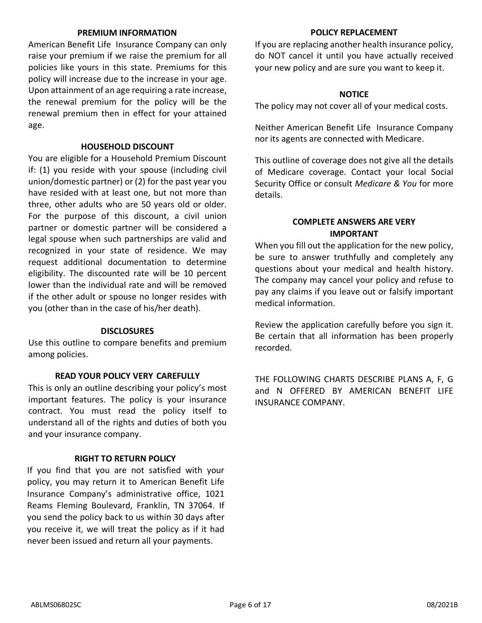### **PREMIUM INFORMATION**

American Benefit Life Insurance Company can only raise your premium if we raise the premium for all policies like yours in this state. Premiums for this policy will increase due to the increase in your age. Upon attainment of an age requiring a rate increase, the renewal premium for the policy will be the renewal premium then in effect for your attained age.

### **HOUSEHOLD DISCOUNT**

You are eligible for a Household Premium Discount if: (1) you reside with your spouse (including civil union/domestic partner) or (2) for the past year you have resided with at least one, but not more than three, other adults who are 50 years old or older. For the purpose of this discount, a civil union partner or domestic partner will be considered a legal spouse when such partnerships are valid and recognized in your state of residence. We may request additional documentation to determine eligibility. The discounted rate will be 10 percent lower than the individual rate and will be removed if the other adult or spouse no longer resides with you (other than in the case of his/her death).

### **DISCLOSURES**

Use this outline to compare benefits and premium among policies.

### **READ YOUR POLICY VERY CAREFULLY**

This is only an outline describing your policy's most important features. The policy is your insurance contract. You must read the policy itself to understand all of the rights and duties of both you and your insurance company.

### **RIGHT TO RETURN POLICY**

If you find that you are not satisfied with your policy, you may return it to American Benefit Life Insurance Company's administrative office, 1021 Reams Fleming Boulevard, Franklin, TN 37064. If you send the policy back to us within 30 days after you receive it, we will treat the policy as if it had never been issued and return all your payments.

### **POLICY REPLACEMENT**

If you are replacing another health insurance policy, do NOT cancel it until you have actually received your new policy and are sure you want to keep it.

## **NOTICE**

The policy may not cover all of your medical costs.

Neither American Benefit Life Insurance Company nor its agents are connected with Medicare.

This outline of coverage does not give all the details of Medicare coverage. Contact your local Social Security Office or consult *Medicare & You* for more details.

# **COMPLETE ANSWERS ARE VERY IMPORTANT**

When you fill out the application for the new policy, be sure to answer truthfully and completely any questions about your medical and health history. The company may cancel your policy and refuse to pay any claims if you leave out or falsify important medical information.

Review the application carefully before you sign it. Be certain that all information has been properly recorded.

THE FOLLOWING CHARTS DESCRIBE PLANS A, F, G and N OFFERED BY AMERICAN BENEFIT LIFE INSURANCE COMPANY.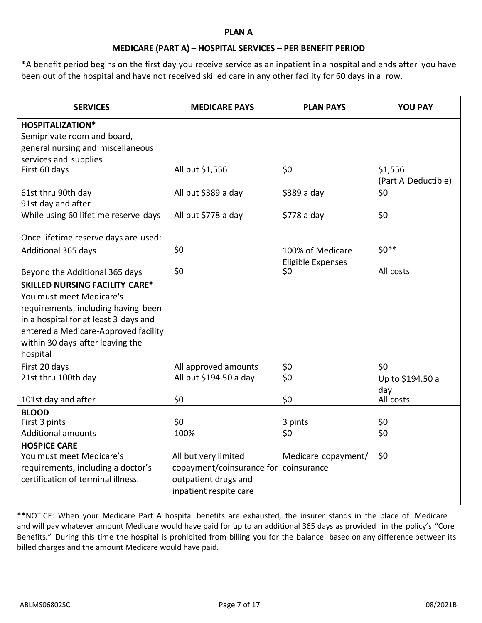### **PLAN A**

### **MEDICARE (PART A) – HOSPITAL SERVICES – PER BENEFIT PERIOD**

\*A benefit period begins on the first day you receive service as an inpatient in a hospital and ends after you have been out of the hospital and have not received skilled care in any other facility for 60 days in a row.

| <b>SERVICES</b>                       | <b>MEDICARE PAYS</b>      | <b>PLAN PAYS</b>    | <b>YOU PAY</b>                 |
|---------------------------------------|---------------------------|---------------------|--------------------------------|
| <b>HOSPITALIZATION*</b>               |                           |                     |                                |
| Semiprivate room and board,           |                           |                     |                                |
| general nursing and miscellaneous     |                           |                     |                                |
| services and supplies                 |                           |                     |                                |
| First 60 days                         | All but \$1,556           | \$0                 | \$1,556<br>(Part A Deductible) |
| 61st thru 90th day                    | All but \$389 a day       | $$389a$ day         | \$0                            |
| 91st day and after                    |                           |                     |                                |
| While using 60 lifetime reserve days  | All but \$778 a day       | $$778a$ day         | \$0                            |
| Once lifetime reserve days are used:  |                           |                     |                                |
| Additional 365 days                   | \$0                       | 100% of Medicare    | $$0**$$                        |
|                                       |                           | Eligible Expenses   |                                |
| Beyond the Additional 365 days        | \$0                       | \$0                 | All costs                      |
| <b>SKILLED NURSING FACILITY CARE*</b> |                           |                     |                                |
| You must meet Medicare's              |                           |                     |                                |
| requirements, including having been   |                           |                     |                                |
| in a hospital for at least 3 days and |                           |                     |                                |
| entered a Medicare-Approved facility  |                           |                     |                                |
| within 30 days after leaving the      |                           |                     |                                |
| hospital                              |                           |                     |                                |
| First 20 days                         | All approved amounts      | \$0                 | \$0                            |
| 21st thru 100th day                   | All but \$194.50 a day    | \$0                 | Up to \$194.50 a               |
| 101st day and after                   | \$0                       | \$0                 | day<br>All costs               |
| <b>BLOOD</b>                          |                           |                     |                                |
| First 3 pints                         | \$0                       | 3 pints             | \$0                            |
| <b>Additional amounts</b>             | 100%                      | \$0                 | \$0                            |
| <b>HOSPICE CARE</b>                   |                           |                     |                                |
| You must meet Medicare's              | All but very limited      | Medicare copayment/ | \$0                            |
| requirements, including a doctor's    | copayment/coinsurance for | coinsurance         |                                |
| certification of terminal illness.    | outpatient drugs and      |                     |                                |
|                                       | inpatient respite care    |                     |                                |

\*\*NOTICE: When your Medicare Part A hospital benefits are exhausted, the insurer stands in the place of Medicare and will pay whatever amount Medicare would have paid for up to an additional 365 days as provided in the policy's "Core Benefits." During this time the hospital is prohibited from billing you for the balance based on any difference between its billed charges and the amount Medicare would have paid.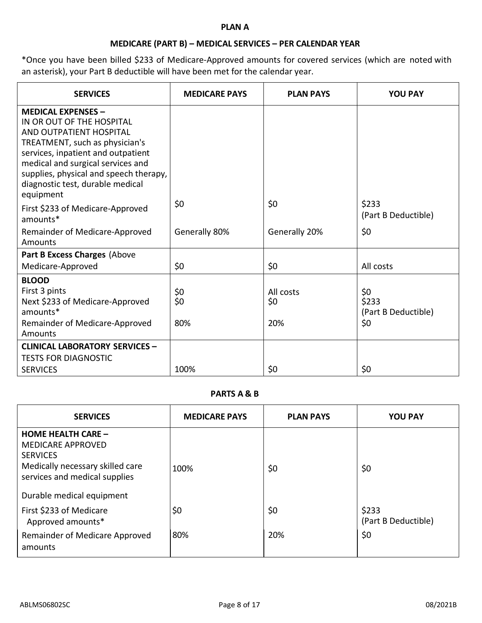### **PLAN A**

# **MEDICARE (PART B) – MEDICAL SERVICES – PER CALENDAR YEAR**

\*Once you have been billed \$233 of Medicare-Approved amounts for covered services (which are noted with an asterisk), your Part B deductible will have been met for the calendar year.

| <b>SERVICES</b>                                                                                                                                                                                                                                                                           | <b>MEDICARE PAYS</b> | <b>PLAN PAYS</b> | <b>YOU PAY</b>               |
|-------------------------------------------------------------------------------------------------------------------------------------------------------------------------------------------------------------------------------------------------------------------------------------------|----------------------|------------------|------------------------------|
| <b>MEDICAL EXPENSES -</b><br>IN OR OUT OF THE HOSPITAL<br>AND OUTPATIENT HOSPITAL<br>TREATMENT, such as physician's<br>services, inpatient and outpatient<br>medical and surgical services and<br>supplies, physical and speech therapy,<br>diagnostic test, durable medical<br>equipment |                      |                  |                              |
| First \$233 of Medicare-Approved<br>amounts*                                                                                                                                                                                                                                              | \$0                  | \$0              | \$233<br>(Part B Deductible) |
| Remainder of Medicare-Approved<br>Amounts                                                                                                                                                                                                                                                 | Generally 80%        | Generally 20%    | \$0                          |
| Part B Excess Charges (Above                                                                                                                                                                                                                                                              |                      |                  |                              |
| Medicare-Approved                                                                                                                                                                                                                                                                         | \$0                  | \$0              | All costs                    |
| <b>BLOOD</b>                                                                                                                                                                                                                                                                              |                      |                  |                              |
| First 3 pints<br>Next \$233 of Medicare-Approved                                                                                                                                                                                                                                          | \$0<br>\$0           | All costs<br>\$0 | \$0<br>\$233                 |
| amounts*                                                                                                                                                                                                                                                                                  |                      |                  | (Part B Deductible)          |
| Remainder of Medicare-Approved<br>Amounts                                                                                                                                                                                                                                                 | 80%                  | 20%              | \$0                          |
| <b>CLINICAL LABORATORY SERVICES -</b>                                                                                                                                                                                                                                                     |                      |                  |                              |
| <b>TESTS FOR DIAGNOSTIC</b>                                                                                                                                                                                                                                                               |                      |                  |                              |
| <b>SERVICES</b>                                                                                                                                                                                                                                                                           | 100%                 | \$0              | \$0                          |

# **PARTS A & B**

| <b>SERVICES</b>                                                                                                                               | <b>MEDICARE PAYS</b> | <b>PLAN PAYS</b> | <b>YOU PAY</b>               |
|-----------------------------------------------------------------------------------------------------------------------------------------------|----------------------|------------------|------------------------------|
| <b>HOME HEALTH CARE -</b><br><b>MEDICARE APPROVED</b><br><b>SERVICES</b><br>Medically necessary skilled care<br>services and medical supplies | 100%                 | \$0              | \$0                          |
| Durable medical equipment                                                                                                                     |                      |                  |                              |
| First \$233 of Medicare<br>Approved amounts*                                                                                                  | \$0                  | \$0              | \$233<br>(Part B Deductible) |
| Remainder of Medicare Approved<br>amounts                                                                                                     | 80%                  | 20%              | \$0                          |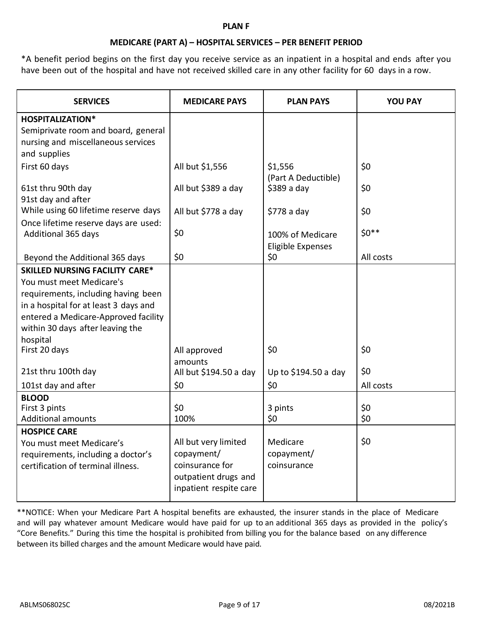### **PLAN F**

### **MEDICARE (PART A) – HOSPITAL SERVICES – PER BENEFIT PERIOD**

\*A benefit period begins on the first day you receive service as an inpatient in a hospital and ends after you have been out of the hospital and have not received skilled care in any other facility for 60 days in a row.

| <b>SERVICES</b>                       | <b>MEDICARE PAYS</b>              | <b>PLAN PAYS</b>         | <b>YOU PAY</b> |
|---------------------------------------|-----------------------------------|--------------------------|----------------|
| <b>HOSPITALIZATION*</b>               |                                   |                          |                |
| Semiprivate room and board, general   |                                   |                          |                |
| nursing and miscellaneous services    |                                   |                          |                |
| and supplies                          |                                   |                          |                |
| First 60 days                         | All but \$1,556                   | \$1,556                  | \$0            |
|                                       |                                   | (Part A Deductible)      |                |
| 61st thru 90th day                    | All but \$389 a day               | $$389a$ day              | \$0            |
| 91st day and after                    |                                   |                          |                |
| While using 60 lifetime reserve days  | All but \$778 a day               | $$778a$ day              | \$0            |
| Once lifetime reserve days are used:  |                                   |                          |                |
| Additional 365 days                   | \$0                               | 100% of Medicare         | $$0**$$        |
|                                       |                                   | <b>Eligible Expenses</b> |                |
| Beyond the Additional 365 days        | \$0                               | \$0                      | All costs      |
| <b>SKILLED NURSING FACILITY CARE*</b> |                                   |                          |                |
| You must meet Medicare's              |                                   |                          |                |
| requirements, including having been   |                                   |                          |                |
| in a hospital for at least 3 days and |                                   |                          |                |
| entered a Medicare-Approved facility  |                                   |                          |                |
| within 30 days after leaving the      |                                   |                          |                |
| hospital                              |                                   |                          |                |
| First 20 days                         | All approved                      | \$0                      | \$0            |
| 21st thru 100th day                   | amounts<br>All but \$194.50 a day | Up to \$194.50 a day     | \$0            |
|                                       | \$0                               |                          | All costs      |
| 101st day and after                   |                                   | \$0                      |                |
| <b>BLOOD</b><br>First 3 pints         | \$0                               | 3 pints                  | \$0            |
| <b>Additional amounts</b>             | 100%                              | \$0                      | \$0            |
| <b>HOSPICE CARE</b>                   |                                   |                          |                |
| You must meet Medicare's              | All but very limited              | Medicare                 | \$0            |
| requirements, including a doctor's    | copayment/                        | copayment/               |                |
| certification of terminal illness.    | coinsurance for                   | coinsurance              |                |
|                                       | outpatient drugs and              |                          |                |
|                                       | inpatient respite care            |                          |                |
|                                       |                                   |                          |                |

\*\*NOTICE: When your Medicare Part A hospital benefits are exhausted, the insurer stands in the place of Medicare and will pay whatever amount Medicare would have paid for up to an additional 365 days as provided in the policy's "Core Benefits." During this time the hospital is prohibited from billing you for the balance based on any difference between its billed charges and the amount Medicare would have paid.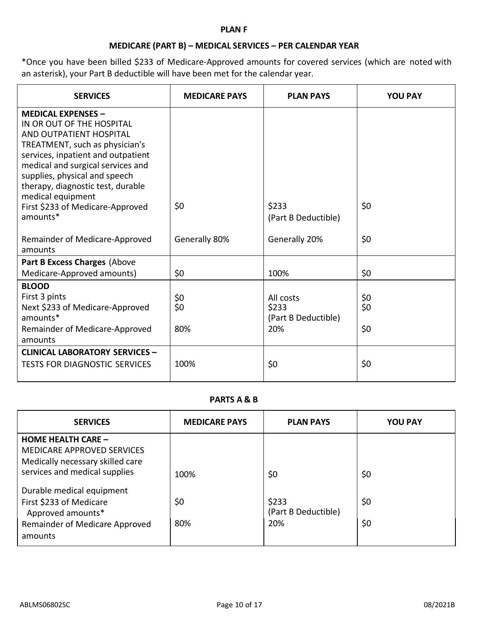### **PLAN F**

# **MEDICARE (PART B) – MEDICAL SERVICES – PER CALENDAR YEAR**

\*Once you have been billed \$233 of Medicare-Approved amounts for covered services (which are noted with an asterisk), your Part B deductible will have been met for the calendar year.

| <b>SERVICES</b>                                                                                                                                                                                                                                                                           | <b>MEDICARE PAYS</b> | <b>PLAN PAYS</b>                                 | <b>YOU PAY</b>    |
|-------------------------------------------------------------------------------------------------------------------------------------------------------------------------------------------------------------------------------------------------------------------------------------------|----------------------|--------------------------------------------------|-------------------|
| <b>MEDICAL EXPENSES -</b><br>IN OR OUT OF THE HOSPITAL<br>AND OUTPATIENT HOSPITAL<br>TREATMENT, such as physician's<br>services, inpatient and outpatient<br>medical and surgical services and<br>supplies, physical and speech<br>therapy, diagnostic test, durable<br>medical equipment |                      |                                                  |                   |
| First \$233 of Medicare-Approved<br>amounts*                                                                                                                                                                                                                                              | \$0                  | \$233<br>(Part B Deductible)                     | \$0               |
| Remainder of Medicare-Approved<br>amounts                                                                                                                                                                                                                                                 | Generally 80%        | Generally 20%                                    | \$0               |
| Part B Excess Charges (Above                                                                                                                                                                                                                                                              |                      |                                                  |                   |
| Medicare-Approved amounts)                                                                                                                                                                                                                                                                | \$0                  | 100%                                             | \$0               |
| <b>BLOOD</b><br>First 3 pints<br>Next \$233 of Medicare-Approved<br>amounts*<br>Remainder of Medicare-Approved<br>amounts                                                                                                                                                                 | \$0<br>\$0<br>80%    | All costs<br>\$233<br>(Part B Deductible)<br>20% | \$0<br>\$0<br>\$0 |
| <b>CLINICAL LABORATORY SERVICES -</b><br><b>TESTS FOR DIAGNOSTIC SERVICES</b>                                                                                                                                                                                                             | 100%                 | \$0                                              | \$0               |

## **PARTS A & B**

| <b>SERVICES</b>                                                                                                                     | <b>MEDICARE PAYS</b> | <b>PLAN PAYS</b>                    | <b>YOU PAY</b> |
|-------------------------------------------------------------------------------------------------------------------------------------|----------------------|-------------------------------------|----------------|
| <b>HOME HEALTH CARE -</b><br><b>MEDICARE APPROVED SERVICES</b><br>Medically necessary skilled care<br>services and medical supplies | 100%                 | \$0                                 | \$0            |
| Durable medical equipment<br>First \$233 of Medicare<br>Approved amounts*<br>Remainder of Medicare Approved<br>amounts              | \$0<br>80%           | \$233<br>(Part B Deductible)<br>20% | \$0<br>\$0     |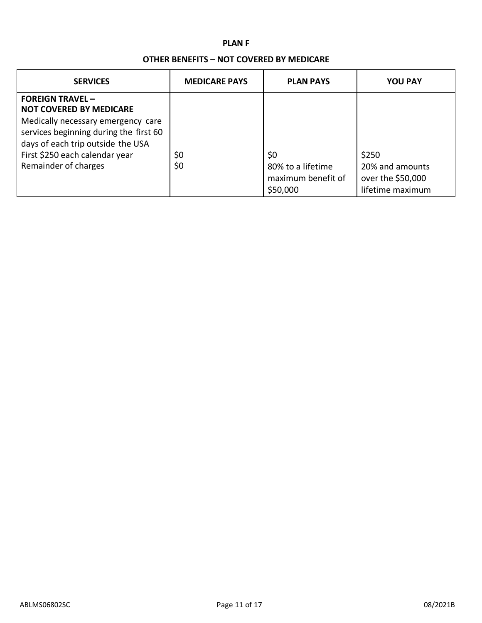### **PLAN F**

### **OTHER BENEFITS – NOT COVERED BY MEDICARE**

| <b>SERVICES</b>                                                                                                                                                                                                                         | <b>MEDICARE PAYS</b> | <b>PLAN PAYS</b>                                           | <b>YOU PAY</b>                                                    |
|-----------------------------------------------------------------------------------------------------------------------------------------------------------------------------------------------------------------------------------------|----------------------|------------------------------------------------------------|-------------------------------------------------------------------|
| <b>FOREIGN TRAVEL-</b><br><b>NOT COVERED BY MEDICARE</b><br>Medically necessary emergency care<br>services beginning during the first 60<br>days of each trip outside the USA<br>First \$250 each calendar year<br>Remainder of charges | \$0<br>\$0           | \$0<br>80% to a lifetime<br>maximum benefit of<br>\$50,000 | \$250<br>20% and amounts<br>over the \$50,000<br>lifetime maximum |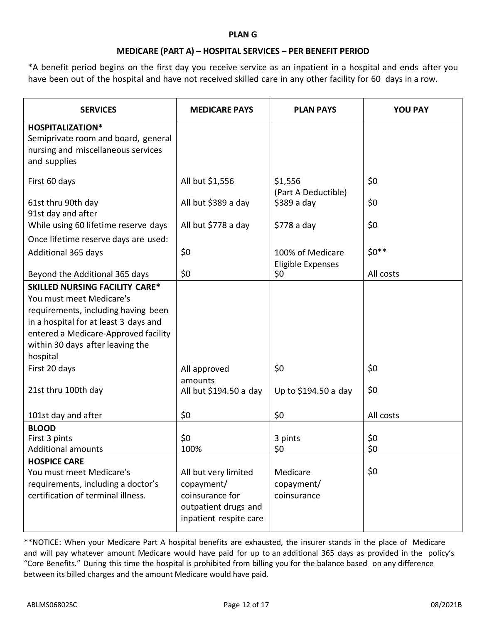### **PLAN G**

## **MEDICARE (PART A) – HOSPITAL SERVICES – PER BENEFIT PERIOD**

\*A benefit period begins on the first day you receive service as an inpatient in a hospital and ends after you have been out of the hospital and have not received skilled care in any other facility for 60 days in a row.

| <b>SERVICES</b>                                                                                                                                                                                                                           | <b>MEDICARE PAYS</b>                                                                                    | <b>PLAN PAYS</b>                      | <b>YOU PAY</b> |
|-------------------------------------------------------------------------------------------------------------------------------------------------------------------------------------------------------------------------------------------|---------------------------------------------------------------------------------------------------------|---------------------------------------|----------------|
| <b>HOSPITALIZATION*</b><br>Semiprivate room and board, general<br>nursing and miscellaneous services<br>and supplies                                                                                                                      |                                                                                                         |                                       |                |
| First 60 days                                                                                                                                                                                                                             | All but \$1,556                                                                                         | \$1,556<br>(Part A Deductible)        | \$0            |
| 61st thru 90th day<br>91st day and after                                                                                                                                                                                                  | All but \$389 a day                                                                                     | $$389a$ day                           | \$0            |
| While using 60 lifetime reserve days                                                                                                                                                                                                      | All but \$778 a day                                                                                     | $$778a$ day                           | \$0            |
| Once lifetime reserve days are used:                                                                                                                                                                                                      |                                                                                                         |                                       |                |
| Additional 365 days                                                                                                                                                                                                                       | \$0                                                                                                     | 100% of Medicare<br>Eligible Expenses | $$0**$$        |
| Beyond the Additional 365 days                                                                                                                                                                                                            | \$0                                                                                                     | \$0                                   | All costs      |
| <b>SKILLED NURSING FACILITY CARE*</b><br>You must meet Medicare's<br>requirements, including having been<br>in a hospital for at least 3 days and<br>entered a Medicare-Approved facility<br>within 30 days after leaving the<br>hospital |                                                                                                         |                                       |                |
| First 20 days<br>21st thru 100th day                                                                                                                                                                                                      | All approved<br>amounts<br>All but \$194.50 a day                                                       | \$0<br>Up to \$194.50 a day           | \$0<br>\$0     |
| 101st day and after                                                                                                                                                                                                                       | \$0                                                                                                     | \$0                                   | All costs      |
| <b>BLOOD</b><br>First 3 pints<br><b>Additional amounts</b>                                                                                                                                                                                | \$0<br>100%                                                                                             | 3 pints<br>\$0                        | \$0<br>\$0     |
| <b>HOSPICE CARE</b><br>You must meet Medicare's<br>requirements, including a doctor's<br>certification of terminal illness.                                                                                                               | All but very limited<br>copayment/<br>coinsurance for<br>outpatient drugs and<br>inpatient respite care | Medicare<br>copayment/<br>coinsurance | \$0            |

\*\*NOTICE: When your Medicare Part A hospital benefits are exhausted, the insurer stands in the place of Medicare and will pay whatever amount Medicare would have paid for up to an additional 365 days as provided in the policy's "Core Benefits." During this time the hospital is prohibited from billing you for the balance based on any difference between its billed charges and the amount Medicare would have paid.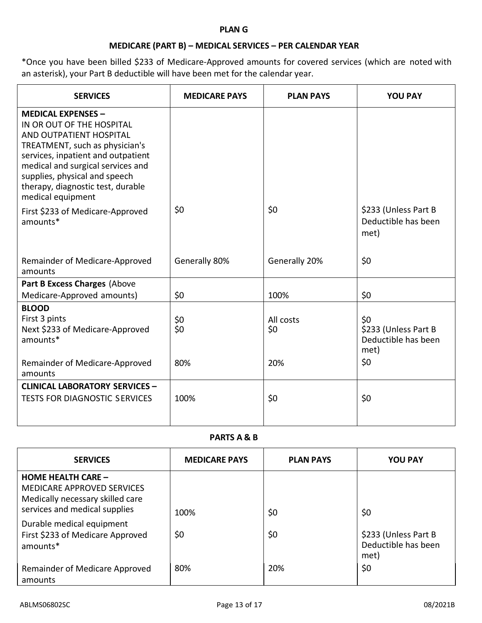### **PLAN G**

# **MEDICARE (PART B) – MEDICAL SERVICES – PER CALENDAR YEAR**

\*Once you have been billed \$233 of Medicare-Approved amounts for covered services (which are noted with an asterisk), your Part B deductible will have been met for the calendar year.

| <b>SERVICES</b>                                                                                                                                                                                                                                                                           | <b>MEDICARE PAYS</b> | <b>PLAN PAYS</b>        | <b>YOU PAY</b>                                                    |
|-------------------------------------------------------------------------------------------------------------------------------------------------------------------------------------------------------------------------------------------------------------------------------------------|----------------------|-------------------------|-------------------------------------------------------------------|
| <b>MEDICAL EXPENSES -</b><br>IN OR OUT OF THE HOSPITAL<br>AND OUTPATIENT HOSPITAL<br>TREATMENT, such as physician's<br>services, inpatient and outpatient<br>medical and surgical services and<br>supplies, physical and speech<br>therapy, diagnostic test, durable<br>medical equipment |                      |                         |                                                                   |
| First \$233 of Medicare-Approved<br>amounts*                                                                                                                                                                                                                                              | \$0                  | \$0                     | \$233 (Unless Part B<br>Deductible has been<br>met)               |
| Remainder of Medicare-Approved<br>amounts                                                                                                                                                                                                                                                 | Generally 80%        | Generally 20%           | \$0                                                               |
| Part B Excess Charges (Above                                                                                                                                                                                                                                                              |                      |                         |                                                                   |
| Medicare-Approved amounts)                                                                                                                                                                                                                                                                | \$0                  | 100%                    | \$0                                                               |
| <b>BLOOD</b><br>First 3 pints<br>Next \$233 of Medicare-Approved<br>amounts*<br>Remainder of Medicare-Approved                                                                                                                                                                            | \$0<br>\$0<br>80%    | All costs<br>\$0<br>20% | \$0<br>\$233 (Unless Part B<br>Deductible has been<br>met)<br>\$0 |
| amounts                                                                                                                                                                                                                                                                                   |                      |                         |                                                                   |
| <b>CLINICAL LABORATORY SERVICES -</b><br><b>TESTS FOR DIAGNOSTIC SERVICES</b>                                                                                                                                                                                                             | 100%                 | \$0                     | \$0                                                               |

**PARTS A & B**

| <b>SERVICES</b>                                                                                                                     | <b>MEDICARE PAYS</b> | <b>PLAN PAYS</b> | <b>YOU PAY</b>              |
|-------------------------------------------------------------------------------------------------------------------------------------|----------------------|------------------|-----------------------------|
| <b>HOME HEALTH CARE -</b><br><b>MEDICARE APPROVED SERVICES</b><br>Medically necessary skilled care<br>services and medical supplies |                      |                  |                             |
| Durable medical equipment                                                                                                           | 100%                 | \$0              | \$0                         |
| First \$233 of Medicare Approved                                                                                                    | \$0                  | \$0              | \$233 (Unless Part B        |
| amounts*                                                                                                                            |                      |                  | Deductible has been<br>met) |
| Remainder of Medicare Approved<br>amounts                                                                                           | 80%                  | 20%              | \$0                         |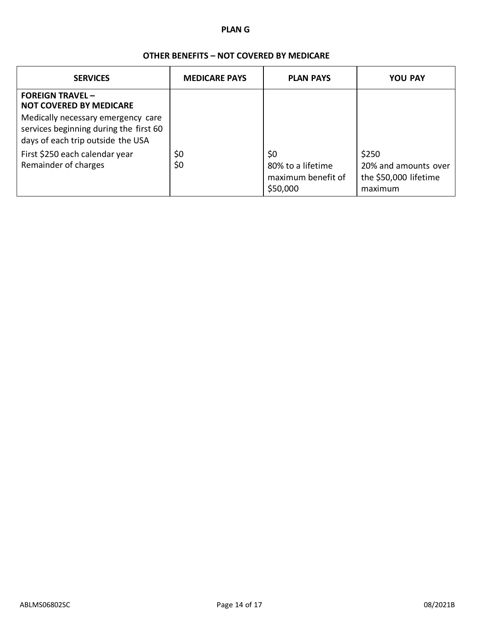### **PLAN G**

# **OTHER BENEFITS – NOT COVERED BY MEDICARE**

| <b>SERVICES</b>                                                                                                                                                                | <b>MEDICARE PAYS</b> | <b>PLAN PAYS</b>                                           | <b>YOU PAY</b>                                                    |
|--------------------------------------------------------------------------------------------------------------------------------------------------------------------------------|----------------------|------------------------------------------------------------|-------------------------------------------------------------------|
| <b>FOREIGN TRAVEL -</b><br><b>NOT COVERED BY MEDICARE</b><br>Medically necessary emergency care<br>services beginning during the first 60<br>days of each trip outside the USA |                      |                                                            |                                                                   |
| First \$250 each calendar year<br>Remainder of charges                                                                                                                         | \$0<br>\$0           | \$0<br>80% to a lifetime<br>maximum benefit of<br>\$50,000 | \$250<br>20% and amounts over<br>the \$50,000 lifetime<br>maximum |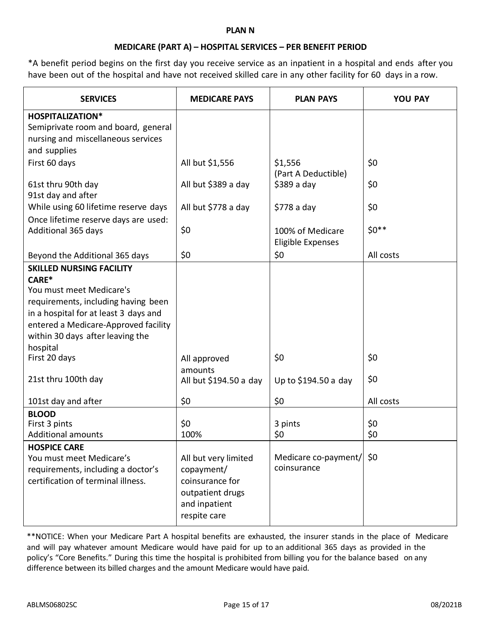### **PLAN N**

### **MEDICARE (PART A) – HOSPITAL SERVICES – PER BENEFIT PERIOD**

\*A benefit period begins on the first day you receive service as an inpatient in a hospital and ends after you have been out of the hospital and have not received skilled care in any other facility for 60 days in a row.

| <b>SERVICES</b>                       | <b>MEDICARE PAYS</b>   | <b>PLAN PAYS</b>         | <b>YOU PAY</b> |
|---------------------------------------|------------------------|--------------------------|----------------|
| <b>HOSPITALIZATION*</b>               |                        |                          |                |
| Semiprivate room and board, general   |                        |                          |                |
| nursing and miscellaneous services    |                        |                          |                |
| and supplies                          |                        |                          |                |
| First 60 days                         | All but \$1,556        | \$1,556                  | \$0            |
|                                       |                        | (Part A Deductible)      |                |
| 61st thru 90th day                    | All but \$389 a day    | $$389a$ day              | \$0            |
| 91st day and after                    |                        |                          |                |
| While using 60 lifetime reserve days  | All but \$778 a day    | $$778a$ day              | \$0            |
| Once lifetime reserve days are used:  |                        |                          |                |
| Additional 365 days                   | \$0                    | 100% of Medicare         | $$0**$$        |
|                                       |                        | <b>Eligible Expenses</b> |                |
| Beyond the Additional 365 days        | \$0                    | \$0                      | All costs      |
| <b>SKILLED NURSING FACILITY</b>       |                        |                          |                |
| CARE*                                 |                        |                          |                |
| You must meet Medicare's              |                        |                          |                |
| requirements, including having been   |                        |                          |                |
| in a hospital for at least 3 days and |                        |                          |                |
| entered a Medicare-Approved facility  |                        |                          |                |
| within 30 days after leaving the      |                        |                          |                |
| hospital                              |                        |                          |                |
| First 20 days                         | All approved           | \$0                      | \$0            |
|                                       | amounts                |                          |                |
| 21st thru 100th day                   | All but \$194.50 a day | Up to \$194.50 a day     | \$0            |
| 101st day and after                   | \$0                    | \$0                      | All costs      |
| <b>BLOOD</b>                          |                        |                          |                |
| First 3 pints                         | \$0                    | 3 pints                  | \$0            |
| <b>Additional amounts</b>             | 100%                   | \$0                      | \$0            |
| <b>HOSPICE CARE</b>                   |                        |                          |                |
| You must meet Medicare's              | All but very limited   | Medicare co-payment/     | \$0            |
| requirements, including a doctor's    | copayment/             | coinsurance              |                |
| certification of terminal illness.    | coinsurance for        |                          |                |
|                                       | outpatient drugs       |                          |                |
|                                       | and inpatient          |                          |                |
|                                       | respite care           |                          |                |

\*\*NOTICE: When your Medicare Part A hospital benefits are exhausted, the insurer stands in the place of Medicare and will pay whatever amount Medicare would have paid for up to an additional 365 days as provided in the policy's "Core Benefits." During this time the hospital is prohibited from billing you for the balance based on any difference between its billed charges and the amount Medicare would have paid.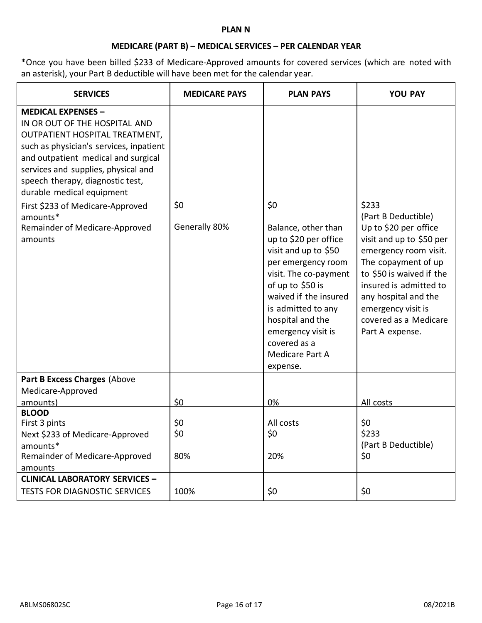### **PLAN N**

# **MEDICARE (PART B) – MEDICAL SERVICES – PER CALENDAR YEAR**

\*Once you have been billed \$233 of Medicare-Approved amounts for covered services (which are noted with an asterisk), your Part B deductible will have been met for the calendar year.

| <b>SERVICES</b>                                                                                                                                                                                                                                                                                                                                                                     | <b>MEDICARE PAYS</b> | <b>PLAN PAYS</b>                                                                                                                                                                                                                                                                              | <b>YOU PAY</b>                                                                                                                                                                                                                                                                    |
|-------------------------------------------------------------------------------------------------------------------------------------------------------------------------------------------------------------------------------------------------------------------------------------------------------------------------------------------------------------------------------------|----------------------|-----------------------------------------------------------------------------------------------------------------------------------------------------------------------------------------------------------------------------------------------------------------------------------------------|-----------------------------------------------------------------------------------------------------------------------------------------------------------------------------------------------------------------------------------------------------------------------------------|
| <b>MEDICAL EXPENSES -</b><br>IN OR OUT OF THE HOSPITAL AND<br>OUTPATIENT HOSPITAL TREATMENT,<br>such as physician's services, inpatient<br>and outpatient medical and surgical<br>services and supplies, physical and<br>speech therapy, diagnostic test,<br>durable medical equipment<br>First \$233 of Medicare-Approved<br>amounts*<br>Remainder of Medicare-Approved<br>amounts | \$0<br>Generally 80% | \$0<br>Balance, other than<br>up to \$20 per office<br>visit and up to \$50<br>per emergency room<br>visit. The co-payment<br>of up to \$50 is<br>waived if the insured<br>is admitted to any<br>hospital and the<br>emergency visit is<br>covered as a<br><b>Medicare Part A</b><br>expense. | \$233<br>(Part B Deductible)<br>Up to \$20 per office<br>visit and up to \$50 per<br>emergency room visit.<br>The copayment of up<br>to \$50 is waived if the<br>insured is admitted to<br>any hospital and the<br>emergency visit is<br>covered as a Medicare<br>Part A expense. |
| Part B Excess Charges (Above<br>Medicare-Approved<br>amounts)                                                                                                                                                                                                                                                                                                                       | \$0                  | 0%                                                                                                                                                                                                                                                                                            | All costs                                                                                                                                                                                                                                                                         |
| <b>BLOOD</b><br>First 3 pints<br>Next \$233 of Medicare-Approved<br>amounts*<br>Remainder of Medicare-Approved<br>amounts                                                                                                                                                                                                                                                           | \$0<br>\$0<br>80%    | All costs<br>\$0<br>20%                                                                                                                                                                                                                                                                       | \$0<br>\$233<br>(Part B Deductible)<br>\$0                                                                                                                                                                                                                                        |
| <b>CLINICAL LABORATORY SERVICES -</b><br><b>TESTS FOR DIAGNOSTIC SERVICES</b>                                                                                                                                                                                                                                                                                                       | 100%                 | \$0                                                                                                                                                                                                                                                                                           | \$0                                                                                                                                                                                                                                                                               |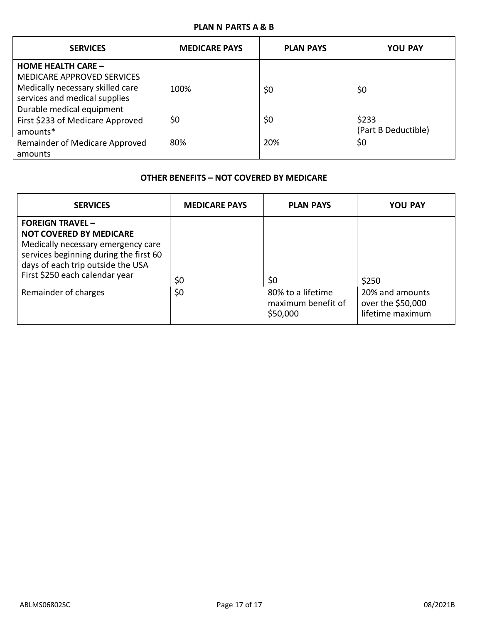# **PLAN N PARTS A & B**

| <b>SERVICES</b>                                                           | <b>MEDICARE PAYS</b> | <b>PLAN PAYS</b> | <b>YOU PAY</b>               |
|---------------------------------------------------------------------------|----------------------|------------------|------------------------------|
| <b>HOME HEALTH CARE -</b><br><b>MEDICARE APPROVED SERVICES</b>            |                      |                  |                              |
| Medically necessary skilled care<br>services and medical supplies         | 100%                 | \$0              | \$0                          |
| Durable medical equipment<br>First \$233 of Medicare Approved<br>amounts* | \$0                  | \$0              | \$233<br>(Part B Deductible) |
| Remainder of Medicare Approved<br>amounts                                 | 80%                  | 20%              | \$0                          |

# **OTHER BENEFITS – NOT COVERED BY MEDICARE**

| <b>SERVICES</b>                                                                                                                                                                                                                         | <b>MEDICARE PAYS</b> | <b>PLAN PAYS</b>                                           | <b>YOU PAY</b>                                                    |
|-----------------------------------------------------------------------------------------------------------------------------------------------------------------------------------------------------------------------------------------|----------------------|------------------------------------------------------------|-------------------------------------------------------------------|
| <b>FOREIGN TRAVEL-</b><br><b>NOT COVERED BY MEDICARE</b><br>Medically necessary emergency care<br>services beginning during the first 60<br>days of each trip outside the USA<br>First \$250 each calendar year<br>Remainder of charges | \$0<br>\$0           | \$0<br>80% to a lifetime<br>maximum benefit of<br>\$50,000 | \$250<br>20% and amounts<br>over the \$50,000<br>lifetime maximum |